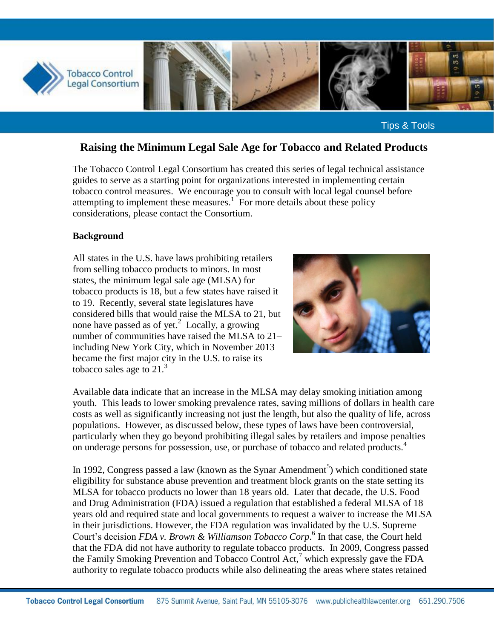

Tips & Tools

# **Raising the Minimum Legal Sale Age for Tobacco and Related Products**

The Tobacco Control Legal Consortium has created this series of legal technical assistance guides to serve as a starting point for organizations interested in implementing certain tobacco control measures. We encourage you to consult with local legal counsel before attempting to implement these measures.<sup>1</sup> For more details about these policy considerations, please contact the Consortium.

#### **Background**

All states in the U.S. have laws prohibiting retailers from selling tobacco products to minors. In most states, the minimum legal sale age (MLSA) for tobacco products is 18, but a few states have raised it to 19. Recently, several state legislatures have considered bills that would raise the MLSA to 21, but none have passed as of yet.<sup>2</sup> Locally, a growing number of communities have raised the MLSA to 21– including New York City, which in November 2013 became the first major city in the U.S. to raise its tobacco sales age to  $21<sup>3</sup>$ 



Available data indicate that an increase in the MLSA may delay smoking initiation among youth. This leads to lower smoking prevalence rates, saving millions of dollars in health care costs as well as significantly increasing not just the length, but also the quality of life, across populations. However, as discussed below, these types of laws have been controversial, particularly when they go beyond prohibiting illegal sales by retailers and impose penalties on underage persons for possession, use, or purchase of tobacco and related products.<sup>4</sup>

In 1992, Congress passed a law (known as the Synar Amendment<sup>5</sup>) which conditioned state eligibility for substance abuse prevention and treatment block grants on the state setting its MLSA for tobacco products no lower than 18 years old. Later that decade, the U.S. Food and Drug Administration (FDA) issued a regulation that established a federal MLSA of 18 years old and required state and local governments to request a waiver to increase the MLSA in their jurisdictions. However, the FDA regulation was invalidated by the U.S. Supreme Court's decision *FDA v. Brown & Williamson Tobacco Corp*. 6 In that case, the Court held that the FDA did not have authority to regulate tobacco products. In 2009, Congress passed the Family Smoking Prevention and Tobacco Control Act,<sup>7</sup> which expressly gave the FDA authority to regulate tobacco products while also delineating the areas where states retained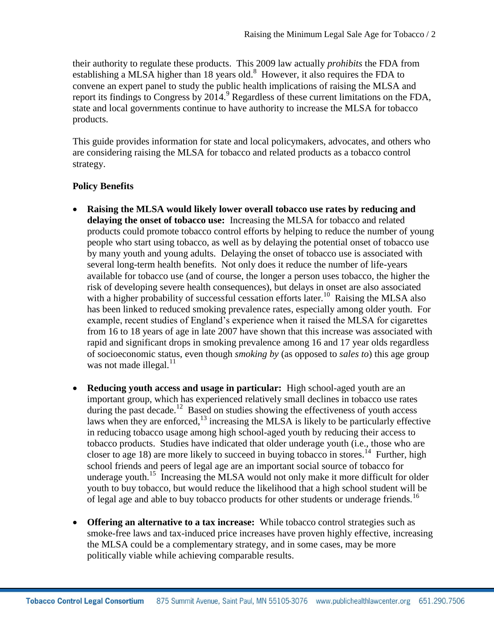their authority to regulate these products. This 2009 law actually *prohibits* the FDA from establishing a MLSA higher than 18 years old.<sup>8</sup> However, it also requires the FDA to convene an expert panel to study the public health implications of raising the MLSA and report its findings to Congress by  $2014<sup>9</sup>$  Regardless of these current limitations on the FDA, state and local governments continue to have authority to increase the MLSA for tobacco products.

This guide provides information for state and local policymakers, advocates, and others who are considering raising the MLSA for tobacco and related products as a tobacco control strategy.

### **Policy Benefits**

- **Raising the MLSA would likely lower overall tobacco use rates by reducing and delaying the onset of tobacco use:** Increasing the MLSA for tobacco and related products could promote tobacco control efforts by helping to reduce the number of young people who start using tobacco, as well as by delaying the potential onset of tobacco use by many youth and young adults. Delaying the onset of tobacco use is associated with several long-term health benefits. Not only does it reduce the number of life-years available for tobacco use (and of course, the longer a person uses tobacco, the higher the risk of developing severe health consequences), but delays in onset are also associated with a higher probability of successful cessation efforts later.<sup>10</sup> Raising the MLSA also has been linked to reduced smoking prevalence rates, especially among older youth. For example, recent studies of England's experience when it raised the MLSA for cigarettes from 16 to 18 years of age in late 2007 have shown that this increase was associated with rapid and significant drops in smoking prevalence among 16 and 17 year olds regardless of socioeconomic status, even though *smoking by* (as opposed to *sales to*) this age group was not made illegal. $11$
- **Reducing youth access and usage in particular:** High school-aged youth are an important group, which has experienced relatively small declines in tobacco use rates during the past decade.<sup>12</sup> Based on studies showing the effectiveness of youth access laws when they are enforced, $^{13}$  increasing the MLSA is likely to be particularly effective in reducing tobacco usage among high school-aged youth by reducing their access to tobacco products. Studies have indicated that older underage youth (i.e., those who are closer to age 18) are more likely to succeed in buying tobacco in stores.<sup>14</sup> Further, high school friends and peers of legal age are an important social source of tobacco for underage youth.<sup>15</sup> Increasing the MLSA would not only make it more difficult for older youth to buy tobacco, but would reduce the likelihood that a high school student will be of legal age and able to buy tobacco products for other students or underage friends.<sup>16</sup>
- **Offering an alternative to a tax increase:** While tobacco control strategies such as smoke-free laws and tax-induced price increases have proven highly effective, increasing the MLSA could be a complementary strategy, and in some cases, may be more politically viable while achieving comparable results.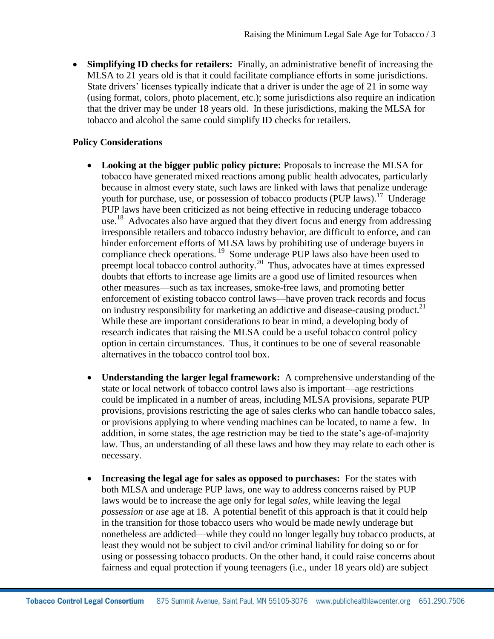**Simplifying ID checks for retailers:** Finally, an administrative benefit of increasing the MLSA to 21 years old is that it could facilitate compliance efforts in some jurisdictions. State drivers' licenses typically indicate that a driver is under the age of 21 in some way (using format, colors, photo placement, etc.); some jurisdictions also require an indication that the driver may be under 18 years old. In these jurisdictions, making the MLSA for tobacco and alcohol the same could simplify ID checks for retailers.

#### **Policy Considerations**

- **Looking at the bigger public policy picture:** Proposals to increase the MLSA for tobacco have generated mixed reactions among public health advocates, particularly because in almost every state, such laws are linked with laws that penalize underage youth for purchase, use, or possession of tobacco products (PUP laws).<sup>17</sup> Underage PUP laws have been criticized as not being effective in reducing underage tobacco use.<sup>18</sup> Advocates also have argued that they divert focus and energy from addressing irresponsible retailers and tobacco industry behavior, are difficult to enforce, and can hinder enforcement efforts of MLSA laws by prohibiting use of underage buyers in compliance check operations.<sup>19</sup> Some underage PUP laws also have been used to preempt local tobacco control authority.<sup>20</sup> Thus, advocates have at times expressed doubts that efforts to increase age limits are a good use of limited resources when other measures—such as tax increases, smoke-free laws, and promoting better enforcement of existing tobacco control laws—have proven track records and focus on industry responsibility for marketing an addictive and disease-causing product.<sup>21</sup> While these are important considerations to bear in mind, a developing body of research indicates that raising the MLSA could be a useful tobacco control policy option in certain circumstances. Thus, it continues to be one of several reasonable alternatives in the tobacco control tool box.
- **Understanding the larger legal framework:** A comprehensive understanding of the state or local network of tobacco control laws also is important—age restrictions could be implicated in a number of areas, including MLSA provisions, separate PUP provisions, provisions restricting the age of sales clerks who can handle tobacco sales, or provisions applying to where vending machines can be located, to name a few. In addition, in some states, the age restriction may be tied to the state's age-of-majority law. Thus, an understanding of all these laws and how they may relate to each other is necessary.
- **Increasing the legal age for sales as opposed to purchases:** For the states with both MLSA and underage PUP laws, one way to address concerns raised by PUP laws would be to increase the age only for legal *sales*, while leaving the legal *possession* or *use* age at 18. A potential benefit of this approach is that it could help in the transition for those tobacco users who would be made newly underage but nonetheless are addicted—while they could no longer legally buy tobacco products, at least they would not be subject to civil and/or criminal liability for doing so or for using or possessing tobacco products. On the other hand, it could raise concerns about fairness and equal protection if young teenagers (i.e., under 18 years old) are subject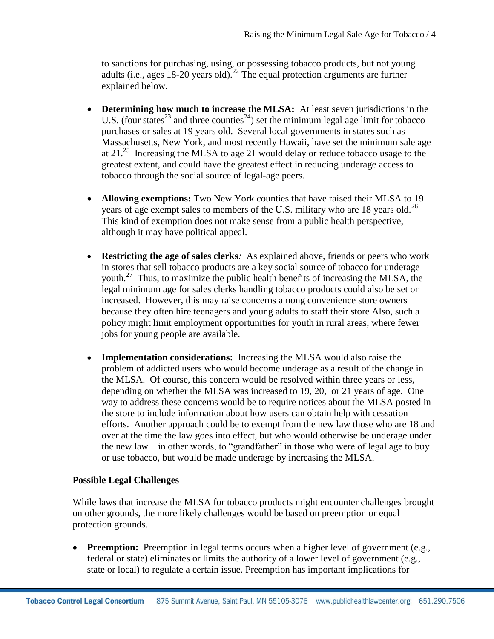to sanctions for purchasing, using, or possessing tobacco products, but not young adults (i.e., ages 18-20 years old).<sup>22</sup> The equal protection arguments are further explained below.

- **Determining how much to increase the MLSA:** At least seven jurisdictions in the U.S. (four states<sup>23</sup> and three counties<sup>24</sup>) set the minimum legal age limit for tobacco purchases or sales at 19 years old. Several local governments in states such as Massachusetts, New York, and most recently Hawaii, have set the minimum sale age at 21.<sup>25</sup> Increasing the MLSA to age 21 would delay or reduce tobacco usage to the greatest extent, and could have the greatest effect in reducing underage access to tobacco through the social source of legal-age peers.
- **Allowing exemptions:** Two New York counties that have raised their MLSA to 19 years of age exempt sales to members of the U.S. military who are 18 years old.<sup>26</sup> This kind of exemption does not make sense from a public health perspective, although it may have political appeal.
- **Restricting the age of sales clerks***:* As explained above, friends or peers who work in stores that sell tobacco products are a key social source of tobacco for underage youth.<sup>27</sup> Thus, to maximize the public health benefits of increasing the MLSA, the legal minimum age for sales clerks handling tobacco products could also be set or increased. However, this may raise concerns among convenience store owners because they often hire teenagers and young adults to staff their store Also, such a policy might limit employment opportunities for youth in rural areas, where fewer jobs for young people are available.
- **Implementation considerations:** Increasing the MLSA would also raise the problem of addicted users who would become underage as a result of the change in the MLSA. Of course, this concern would be resolved within three years or less, depending on whether the MLSA was increased to 19, 20, or 21 years of age. One way to address these concerns would be to require notices about the MLSA posted in the store to include information about how users can obtain help with cessation efforts. Another approach could be to exempt from the new law those who are 18 and over at the time the law goes into effect, but who would otherwise be underage under the new law—in other words, to "grandfather" in those who were of legal age to buy or use tobacco, but would be made underage by increasing the MLSA.

### **Possible Legal Challenges**

While laws that increase the MLSA for tobacco products might encounter challenges brought on other grounds, the more likely challenges would be based on preemption or equal protection grounds.

• **Preemption:** Preemption in legal terms occurs when a higher level of government (e.g., federal or state) eliminates or limits the authority of a lower level of government (e.g., state or local) to regulate a certain issue. Preemption has important implications for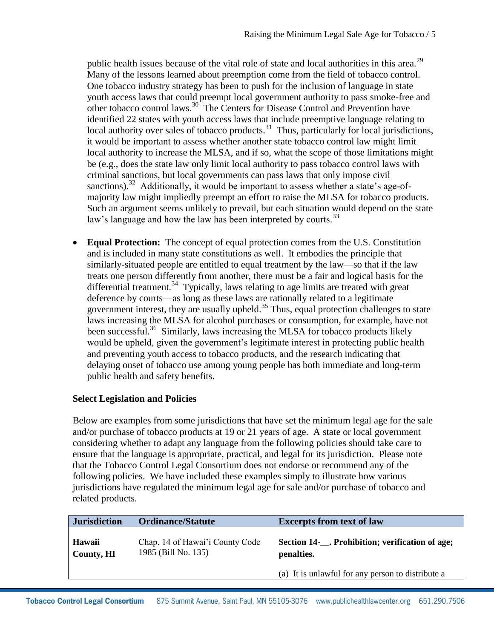public health issues because of the vital role of state and local authorities in this area.<sup>29</sup> Many of the lessons learned about preemption come from the field of tobacco control. One tobacco industry strategy has been to push for the inclusion of language in state youth access laws that could preempt local government authority to pass smoke-free and other tobacco control laws.<sup>30</sup> The Centers for Disease Control and Prevention have identified 22 states with youth access laws that include preemptive language relating to local authority over sales of tobacco products.<sup>31</sup> Thus, particularly for local jurisdictions, it would be important to assess whether another state tobacco control law might limit local authority to increase the MLSA, and if so, what the scope of those limitations might be (e.g., does the state law only limit local authority to pass tobacco control laws with criminal sanctions, but local governments can pass laws that only impose civil sanctions).<sup>32</sup> Additionally, it would be important to assess whether a state's age-ofmajority law might impliedly preempt an effort to raise the MLSA for tobacco products. Such an argument seems unlikely to prevail, but each situation would depend on the state law's language and how the law has been interpreted by courts.<sup>33</sup>

 **Equal Protection:** The concept of equal protection comes from the U.S. Constitution and is included in many state constitutions as well. It embodies the principle that similarly-situated people are entitled to equal treatment by the law—so that if the law treats one person differently from another, there must be a fair and logical basis for the differential treatment.<sup>34</sup> Typically, laws relating to age limits are treated with great deference by courts—as long as these laws are rationally related to a legitimate government interest, they are usually upheld.<sup>35</sup> Thus, equal protection challenges to state laws increasing the MLSA for alcohol purchases or consumption, for example, have not been successful.<sup>36</sup> Similarly, laws increasing the MLSA for tobacco products likely would be upheld, given the government's legitimate interest in protecting public health and preventing youth access to tobacco products, and the research indicating that delaying onset of tobacco use among young people has both immediate and long-term public health and safety benefits.

## **Select Legislation and Policies**

Below are examples from some jurisdictions that have set the minimum legal age for the sale and/or purchase of tobacco products at 19 or 21 years of age. A state or local government considering whether to adapt any language from the following policies should take care to ensure that the language is appropriate, practical, and legal for its jurisdiction. Please note that the Tobacco Control Legal Consortium does not endorse or recommend any of the following policies. We have included these examples simply to illustrate how various jurisdictions have regulated the minimum legal age for sale and/or purchase of tobacco and related products.

| <b>Jurisdiction</b>  | <b>Ordinance/Statute</b>                               | <b>Excerpts from text of law</b>                            |
|----------------------|--------------------------------------------------------|-------------------------------------------------------------|
| Hawaii<br>County, HI | Chap. 14 of Hawai'i County Code<br>1985 (Bill No. 135) | Section 14- Prohibition; verification of age;<br>penalties. |
|                      |                                                        | (a) It is unlawful for any person to distribute a           |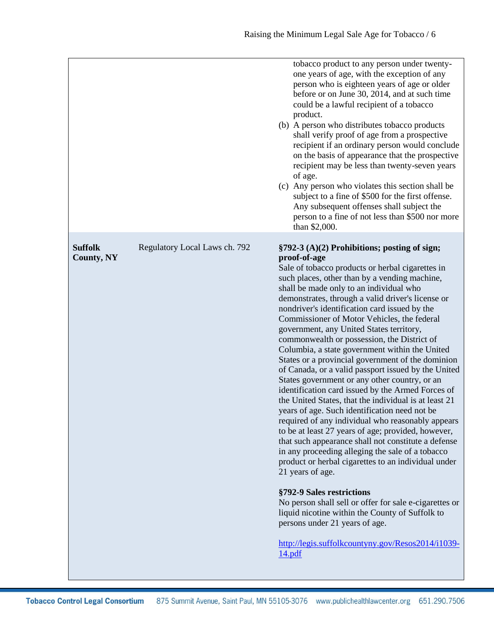|                                     |                               | tobacco product to any person under twenty-<br>one years of age, with the exception of any<br>person who is eighteen years of age or older<br>before or on June 30, 2014, and at such time<br>could be a lawful recipient of a tobacco<br>product.<br>(b) A person who distributes tobacco products<br>shall verify proof of age from a prospective<br>recipient if an ordinary person would conclude<br>on the basis of appearance that the prospective<br>recipient may be less than twenty-seven years<br>of age.<br>(c) Any person who violates this section shall be<br>subject to a fine of \$500 for the first offense.<br>Any subsequent offenses shall subject the<br>person to a fine of not less than \$500 nor more<br>than \$2,000.                                                                                                                                                                                                                                                                                                                                                                                                                                                                                                                                                                                                                                       |
|-------------------------------------|-------------------------------|----------------------------------------------------------------------------------------------------------------------------------------------------------------------------------------------------------------------------------------------------------------------------------------------------------------------------------------------------------------------------------------------------------------------------------------------------------------------------------------------------------------------------------------------------------------------------------------------------------------------------------------------------------------------------------------------------------------------------------------------------------------------------------------------------------------------------------------------------------------------------------------------------------------------------------------------------------------------------------------------------------------------------------------------------------------------------------------------------------------------------------------------------------------------------------------------------------------------------------------------------------------------------------------------------------------------------------------------------------------------------------------|
| <b>Suffolk</b><br><b>County, NY</b> | Regulatory Local Laws ch. 792 | §792-3 (A)(2) Prohibitions; posting of sign;<br>proof-of-age<br>Sale of tobacco products or herbal cigarettes in<br>such places, other than by a vending machine,<br>shall be made only to an individual who<br>demonstrates, through a valid driver's license or<br>nondriver's identification card issued by the<br>Commissioner of Motor Vehicles, the federal<br>government, any United States territory,<br>commonwealth or possession, the District of<br>Columbia, a state government within the United<br>States or a provincial government of the dominion<br>of Canada, or a valid passport issued by the United<br>States government or any other country, or an<br>identification card issued by the Armed Forces of<br>the United States, that the individual is at least 21<br>years of age. Such identification need not be<br>required of any individual who reasonably appears<br>to be at least 27 years of age; provided, however,<br>that such appearance shall not constitute a defense<br>in any proceeding alleging the sale of a tobacco<br>product or herbal cigarettes to an individual under<br>21 years of age.<br>§792-9 Sales restrictions<br>No person shall sell or offer for sale e-cigarettes or<br>liquid nicotine within the County of Suffolk to<br>persons under 21 years of age.<br>http://legis.suffolkcountyny.gov/Resos2014/i1039-<br>14.pdf |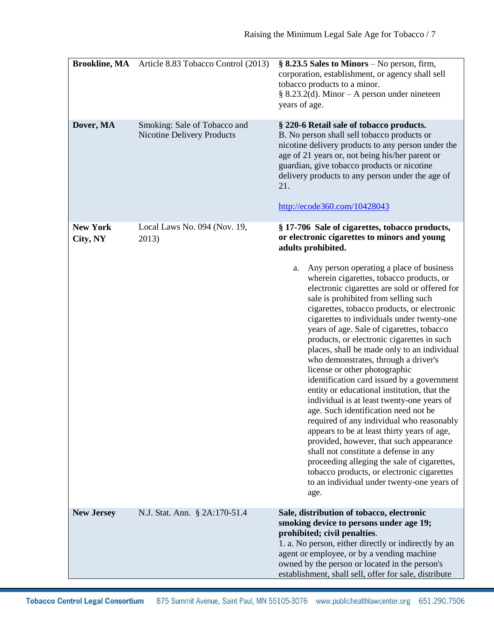|                             | <b>Brookline, MA</b> Article 8.83 Tobacco Control (2013)          | $\S$ 8.23.5 Sales to Minors – No person, firm,<br>corporation, establishment, or agency shall sell<br>tobacco products to a minor.<br>$§ 8.23.2(d)$ . Minor – A person under nineteen<br>years of age.                                                                                                                                                                                                                                                                                                                                                                                                                                                                                                                                                                                                                                                                                                                                                                                                                                                                                                                                            |
|-----------------------------|-------------------------------------------------------------------|---------------------------------------------------------------------------------------------------------------------------------------------------------------------------------------------------------------------------------------------------------------------------------------------------------------------------------------------------------------------------------------------------------------------------------------------------------------------------------------------------------------------------------------------------------------------------------------------------------------------------------------------------------------------------------------------------------------------------------------------------------------------------------------------------------------------------------------------------------------------------------------------------------------------------------------------------------------------------------------------------------------------------------------------------------------------------------------------------------------------------------------------------|
| Dover, MA                   | Smoking: Sale of Tobacco and<br><b>Nicotine Delivery Products</b> | § 220-6 Retail sale of tobacco products.<br>B. No person shall sell tobacco products or<br>nicotine delivery products to any person under the<br>age of 21 years or, not being his/her parent or<br>guardian, give tobacco products or nicotine<br>delivery products to any person under the age of<br>21.<br>http://ecode360.com/10428043                                                                                                                                                                                                                                                                                                                                                                                                                                                                                                                                                                                                                                                                                                                                                                                                        |
| <b>New York</b><br>City, NY | Local Laws No. 094 (Nov. 19,<br>2013)                             | § 17-706 Sale of cigarettes, tobacco products,<br>or electronic cigarettes to minors and young<br>adults prohibited.<br>Any person operating a place of business<br>a.<br>wherein cigarettes, tobacco products, or<br>electronic cigarettes are sold or offered for<br>sale is prohibited from selling such<br>cigarettes, tobacco products, or electronic<br>cigarettes to individuals under twenty-one<br>years of age. Sale of cigarettes, tobacco<br>products, or electronic cigarettes in such<br>places, shall be made only to an individual<br>who demonstrates, through a driver's<br>license or other photographic<br>identification card issued by a government<br>entity or educational institution, that the<br>individual is at least twenty-one years of<br>age. Such identification need not be<br>required of any individual who reasonably<br>appears to be at least thirty years of age,<br>provided, however, that such appearance<br>shall not constitute a defense in any<br>proceeding alleging the sale of cigarettes,<br>tobacco products, or electronic cigarettes<br>to an individual under twenty-one years of<br>age. |
| <b>New Jersey</b>           | N.J. Stat. Ann. § 2A:170-51.4                                     | Sale, distribution of tobacco, electronic<br>smoking device to persons under age 19;<br>prohibited; civil penalties.<br>1. a. No person, either directly or indirectly by an<br>agent or employee, or by a vending machine<br>owned by the person or located in the person's<br>establishment, shall sell, offer for sale, distribute                                                                                                                                                                                                                                                                                                                                                                                                                                                                                                                                                                                                                                                                                                                                                                                                             |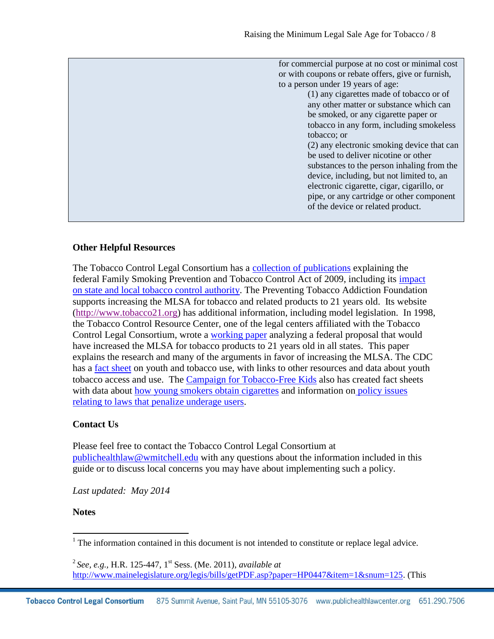### **Other Helpful Resources**

The Tobacco Control Legal Consortium has a [collection of publications](http://www.publichealthlawcenter.org/topics/special-collections/federal-regulation-tobacco-collection) explaining the federal Family Smoking Prevention and Tobacco Control Act of 2009, including its [impact](http://www.publichealthlawcenter.org/sites/default/files/resources/tclc-fda-impact.pdf)  [on state and local tobacco control authority.](http://www.publichealthlawcenter.org/sites/default/files/resources/tclc-fda-impact.pdf) The Preventing Tobacco Addiction Foundation supports increasing the MLSA for tobacco and related products to 21 years old. Its website [\(http://www.tobacco21.org\)](http://www.tobacco21.org/) has additional information, including model legislation. In 1998, the Tobacco Control Resource Center, one of the legal centers affiliated with the Tobacco Control Legal Consortium, wrote a [working paper](http://www.tobacco.neu.edu/tobacco_control/publications/fin21workingpaper.htm) analyzing a federal proposal that would have increased the MLSA for tobacco products to 21 years old in all states. This paper explains the research and many of the arguments in favor of increasing the MLSA. The CDC has a [fact sheet](http://www.cdc.gov/tobacco/data_statistics/fact_sheets/youth_data/tobacco_use/index.htm#reducing) on youth and tobacco use, with links to other resources and data about youth tobacco access and use. The [Campaign for Tobacco-Free Kids](http://www.tobaccofreekids.org/) also has created fact sheets with data about [how young smokers obtain cigarettes](http://www.tobaccofreekids.org/research/factsheets/pdf/0073.pdf) and information on policy issues [relating to laws that penalize underage users.](http://www.tobaccofreekids.org/research/factsheets/pdf/0074.pdf)

## **Contact Us**

Please feel free to contact the Tobacco Control Legal Consortium at [publichealthlaw@wmitchell.edu](mailto:publichealthlaw@wmitchell.edu) with any questions about the information included in this guide or to discuss local concerns you may have about implementing such a policy.

*Last updated: May 2014*

#### **Notes**

 $\overline{\phantom{a}}$ 

 $1$ . The information contained in this document is not intended to constitute or replace legal advice.

<sup>2</sup> *See, e.g.,* H.R. 125-447, 1st Sess. (Me. 2011), *available at* [http://www.mainelegislature.org/legis/bills/getPDF.asp?paper=HP0447&item=1&snum=125.](http://www.mainelegislature.org/legis/bills/getPDF.asp?paper=HP0447&item=1&snum=125) (This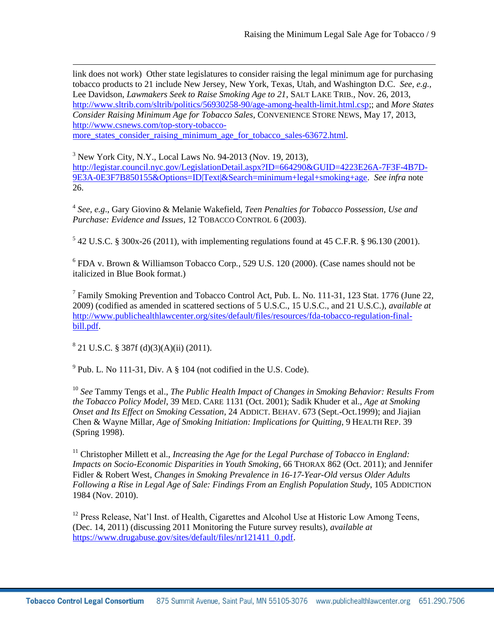link does not work) Other state legislatures to consider raising the legal minimum age for purchasing tobacco products to 21 include New Jersey, New York, Texas, Utah, and Washington D.C. *See, e.g.,* Lee Davidson, *Lawmakers Seek to Raise Smoking Age to 21*, SALT LAKE TRIB., Nov. 26, 2013, [http://www.sltrib.com/sltrib/politics/56930258-90/age-among-health-limit.html.csp;](http://www.sltrib.com/sltrib/politics/56930258-90/age-among-health-limit.html.csp); and *More States Consider Raising Minimum Age for Tobacco Sales*, CONVENIENCE STORE NEWS, May 17, 2013, [http://www.csnews.com/top-story-tobacco](http://www.csnews.com/top-story-tobacco-more_states_consider_raising_minimum_age_for_tobacco_sales-63672.html)[more\\_states\\_consider\\_raising\\_minimum\\_age\\_for\\_tobacco\\_sales-63672.html.](http://www.csnews.com/top-story-tobacco-more_states_consider_raising_minimum_age_for_tobacco_sales-63672.html)

 $3$  New York City, N.Y., Local Laws No. 94-2013 (Nov. 19, 2013), [http://legistar.council.nyc.gov/LegislationDetail.aspx?ID=664290&GUID=4223E26A-7F3F-4B7D-](http://legistar.council.nyc.gov/LegislationDetail.aspx?ID=664290&GUID=4223E26A-7F3F-4B7D-9E3A-0E3F7B850155&Options=ID|Text|&Search=minimum+legal+smoking+age)[9E3A-0E3F7B850155&Options=ID|Text|&Search=minimum+legal+smoking+age.](http://legistar.council.nyc.gov/LegislationDetail.aspx?ID=664290&GUID=4223E26A-7F3F-4B7D-9E3A-0E3F7B850155&Options=ID|Text|&Search=minimum+legal+smoking+age) *See infra* note 26.

4 *See, e.g*., Gary Giovino & Melanie Wakefield, *Teen Penalties for Tobacco Possession, Use and Purchase: Evidence and Issues*, 12 TOBACCO CONTROL 6 (2003).

 $542$  U.S.C. § 300x-26 (2011), with implementing regulations found at 45 C.F.R. § 96.130 (2001).

6 FDA v. Brown & Williamson Tobacco Corp*.*, 529 U.S. 120 (2000). (Case names should not be italicized in Blue Book format.)

<sup>7</sup> Family Smoking Prevention and Tobacco Control Act, Pub. L. No. 111-31, 123 Stat. 1776 (June 22, 2009) (codified as amended in scattered sections of 5 U.S.C., 15 U.S.C., and 21 U.S.C.), *available at* [http://www.publichealthlawcenter.org/sites/default/files/resources/fda-tobacco-regulation-final](http://www.publichealthlawcenter.org/sites/default/files/resources/fda-tobacco-regulation-final-bill.pdf)[bill.pdf.](http://www.publichealthlawcenter.org/sites/default/files/resources/fda-tobacco-regulation-final-bill.pdf)

 $8^{8}$  21 U.S.C. § 387f (d)(3)(A)(ii) (2011).

 $\overline{\phantom{a}}$ 

 $9$  Pub. L. No 111-31, Div. A  $\S$  104 (not codified in the U.S. Code).

<sup>10</sup> *See* Tammy Tengs et al., *The Public Health Impact of Changes in Smoking Behavior: Results From the Tobacco Policy Model*, 39 MED. CARE 1131 (Oct. 2001); Sadik Khuder et al., *Age at Smoking Onset and Its Effect on Smoking Cessation*, 24 ADDICT. BEHAV. 673 (Sept.-Oct.1999); and Jiajian Chen & Wayne Millar, *Age of Smoking Initiation: Implications for Quitting,* 9 HEALTH REP. 39 (Spring 1998).

<sup>11</sup> Christopher Millett et al., *Increasing the Age for the Legal Purchase of Tobacco in England: Impacts on Socio-Economic Disparities in Youth Smoking*, 66 THORAX 862 (Oct. 2011); and Jennifer Fidler & Robert West, *Changes in Smoking Prevalence in 16-17-Year-Old versus Older Adults Following a Rise in Legal Age of Sale: Findings From an English Population Study*, 105 ADDICTION 1984 (Nov. 2010).

<sup>12</sup> Press Release, Nat'l Inst. of Health, Cigarettes and Alcohol Use at Historic Low Among Teens, (Dec. 14, 2011) (discussing 2011 Monitoring the Future survey results), *available at*  [https://www.drugabuse.gov/sites/default/files/nr121411\\_0.pdf.](https://www.drugabuse.gov/sites/default/files/nr121411_0.pdf)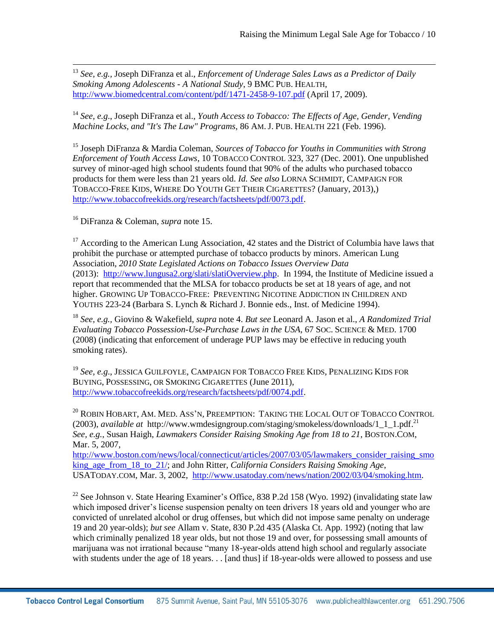<sup>13</sup> *See, e.g.,* Joseph DiFranza et al., *Enforcement of Underage Sales Laws as a Predictor of Daily Smoking Among Adolescents - A National Study*, 9 BMC PUB. HEALTH, <http://www.biomedcentral.com/content/pdf/1471-2458-9-107.pdf> (April 17, 2009).

<sup>14</sup> *See, e.g*., Joseph DiFranza et al., *Youth Access to Tobacco: The Effects of Age, Gender, Vending Machine Locks, and "It's The Law" Programs*, 86 AM.J. PUB. HEALTH 221 (Feb. 1996).

<sup>15</sup> Joseph DiFranza & Mardia Coleman, *Sources of Tobacco for Youths in Communities with Strong Enforcement of Youth Access Laws*, 10 TOBACCO CONTROL 323, 327 (Dec. 2001). One unpublished survey of minor-aged high school students found that 90% of the adults who purchased tobacco products for them were less than 21 years old. *Id. See also* LORNA SCHMIDT, CAMPAIGN FOR TOBACCO-FREE KIDS, WHERE DO YOUTH GET THEIR CIGARETTES? (January, 2013),) [http://www.tobaccofreekids.org/research/factsheets/pdf/0073.pdf.](http://www.tobaccofreekids.org/research/factsheets/pdf/0073.pdf)

<sup>16</sup> DiFranza & Coleman, *supra* note 15.

 $\overline{\phantom{a}}$ 

<sup>17</sup> According to the American Lung Association, 42 states and the District of Columbia have laws that prohibit the purchase or attempted purchase of tobacco products by minors. American Lung Association, *2010 State Legislated Actions on Tobacco Issues Overview Data* (2013): [http://www.lungusa2.org/slati/slatiOverview.php.](http://www.lungusa2.org/slati/slatiOverview.php) In 1994, the Institute of Medicine issued a report that recommended that the MLSA for tobacco products be set at 18 years of age, and not higher. GROWING UP TOBACCO-FREE: PREVENTING NICOTINE ADDICTION IN CHILDREN AND YOUTHS 223-24 (Barbara S. Lynch & Richard J. Bonnie eds., Inst. of Medicine 1994).

<sup>18</sup> *See, e.g.,* Giovino & Wakefield, *supra* note 4. *But see* Leonard A. Jason et al., *A Randomized Trial Evaluating Tobacco Possession-Use-Purchase Laws in the USA*, 67 SOC. SCIENCE & MED. 1700 (2008) (indicating that enforcement of underage PUP laws may be effective in reducing youth smoking rates).

<sup>19</sup> *See, e.g*., JESSICA GUILFOYLE, CAMPAIGN FOR TOBACCO FREE KIDS, PENALIZING KIDS FOR BUYING, POSSESSING, OR SMOKING CIGARETTES (June 2011), [http://www.tobaccofreekids.org/research/factsheets/pdf/0074.pdf.](http://www.tobaccofreekids.org/research/factsheets/pdf/0074.pdf)

 $^{20}$  ROBIN HOBART, AM. MED. ASS'N, PREEMPTION: TAKING THE LOCAL OUT OF TOBACCO CONTROL (2003), *available at* http://www.wmdesigngroup.com/staging/smokeless/downloads/1\_1\_1.pdf. 21 *See, e.g.*, Susan Haigh, *Lawmakers Consider Raising Smoking Age from 18 to 21*, BOSTON.COM, Mar. 5, 2007,

[http://www.boston.com/news/local/connecticut/articles/2007/03/05/lawmakers\\_consider\\_raising\\_smo](http://www.boston.com/news/local/connecticut/articles/2007/03/05/lawmakers_consider_raising_smoking_age_from_18_to_21/) [king\\_age\\_from\\_18\\_to\\_21/;](http://www.boston.com/news/local/connecticut/articles/2007/03/05/lawmakers_consider_raising_smoking_age_from_18_to_21/) and John Ritter, *California Considers Raising Smoking Age*, USATODAY.COM, Mar. 3, 2002, [http://www.usatoday.com/news/nation/2002/03/04/smoking.htm.](http://www.usatoday.com/news/nation/2002/03/04/smoking.htm)

 $22$  See Johnson v. State Hearing Examiner's Office, 838 P.2d 158 (Wyo. 1992) (invalidating state law which imposed driver's license suspension penalty on teen drivers 18 years old and younger who are convicted of unrelated alcohol or drug offenses, but which did not impose same penalty on underage 19 and 20 year-olds); *but see* Allam v. State, 830 P.2d 435 (Alaska Ct. App. 1992) (noting that law which criminally penalized 18 year olds, but not those 19 and over, for possessing small amounts of marijuana was not irrational because "many 18-year-olds attend high school and regularly associate with students under the age of 18 years. . . [and thus] if 18-year-olds were allowed to possess and use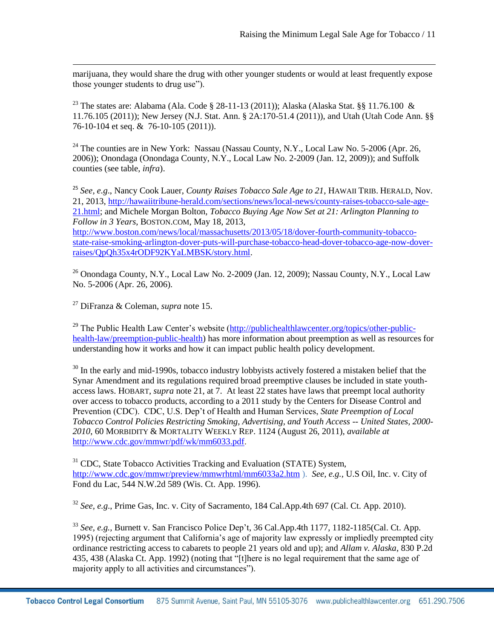marijuana, they would share the drug with other younger students or would at least frequently expose those younger students to drug use").

<sup>23</sup> The states are: Alabama (Ala. Code § 28-11-13 (2011)); Alaska (Alaska Stat. §§ 11.76.100 & 11.76.105 (2011)); New Jersey (N.J. Stat. Ann. § 2A:170-51.4 (2011)), and Utah (Utah Code Ann. §§ [76-10-104](http://le.utah.gov/~code/TITLE76/htm/76_10_010400.htm) et seq. & 76-10-105 (2011)).

 $^{24}$  The counties are in New York: Nassau (Nassau County, N.Y., Local Law No. 5-2006 (Apr. 26, 2006)); Onondaga (Onondaga County, N.Y., Local Law No. 2-2009 (Jan. 12, 2009)); and Suffolk counties (see table, *infra*).

<sup>25</sup> *See, e.g*., Nancy Cook Lauer, *County Raises Tobacco Sale Age to 21*, HAWAII TRIB. HERALD, Nov. 21, 2013, [http://hawaiitribune-herald.com/sections/news/local-news/county-raises-tobacco-sale-age-](http://hawaiitribune-herald.com/sections/news/local-news/county-raises-tobacco-sale-age-21.html)[21.html;](http://hawaiitribune-herald.com/sections/news/local-news/county-raises-tobacco-sale-age-21.html) and Michele Morgan Bolton, *Tobacco Buying Age Now Set at 21: Arlington Planning to Follow in 3 Years*, BOSTON.COM, May 18, 2013,

[http://www.boston.com/news/local/massachusetts/2013/05/18/dover-fourth-community-tobacco](http://www.boston.com/news/local/massachusetts/2013/05/18/dover-fourth-community-tobacco-state-raise-smoking-arlington-dover-puts-will-purchase-tobacco-head-dover-tobacco-age-now-dover-raises/QpQh35x4rODF92KYaLMBSK/story.html)[state-raise-smoking-arlington-dover-puts-will-purchase-tobacco-head-dover-tobacco-age-now-dover](http://www.boston.com/news/local/massachusetts/2013/05/18/dover-fourth-community-tobacco-state-raise-smoking-arlington-dover-puts-will-purchase-tobacco-head-dover-tobacco-age-now-dover-raises/QpQh35x4rODF92KYaLMBSK/story.html)[raises/QpQh35x4rODF92KYaLMBSK/story.html.](http://www.boston.com/news/local/massachusetts/2013/05/18/dover-fourth-community-tobacco-state-raise-smoking-arlington-dover-puts-will-purchase-tobacco-head-dover-tobacco-age-now-dover-raises/QpQh35x4rODF92KYaLMBSK/story.html)

<sup>26</sup> Onondaga County, N.Y., Local Law No. 2-2009 (Jan. 12, 2009); Nassau County, N.Y., Local Law No. 5-2006 (Apr. 26, 2006).

<sup>27</sup> DiFranza & Coleman, *supra* note 15.

 $\overline{\phantom{a}}$ 

<sup>29</sup> The Public Health Law Center's website  $\frac{http://public healthlawcenter.org/topics/other-public-}{http://public healthlawcenter.org/topics/other-public-}$ [health-law/preemption-public-health\)](http://publichealthlawcenter.org/topics/other-public-health-law/preemption-public-health) has more information about preemption as well as resources for understanding how it works and how it can impact public health policy development.

 $30$  In the early and mid-1990s, tobacco industry lobbyists actively fostered a mistaken belief that the Synar Amendment and its regulations required broad preemptive clauses be included in state youthaccess laws. HOBART, *supra* note 21, at 7. At least 22 states have laws that preempt local authority over access to tobacco products, according to a 2011 study by the Centers for Disease Control and Prevention (CDC). CDC, U.S. Dep't of Health and Human Services, *State Preemption of Local Tobacco Control Policies Restricting Smoking, Advertising, and Youth Access -- United States, 2000- 2010*, 60 MORBIDITY & MORTALITY WEEKLY REP. 1124 (August 26, 2011), *available at* [http://www.cdc.gov/mmwr/pdf/wk/mm6033.pdf.](http://www.cdc.gov/mmwr/pdf/wk/mm6033.pdf)

<sup>31</sup> CDC, State Tobacco Activities Tracking and Evaluation (STATE) System, <http://www.cdc.gov/mmwr/preview/mmwrhtml/mm6033a2.htm> ). *See, e.g.,* U.S Oil, Inc. v. City of Fond du Lac, 544 N.W.2d 589 (Wis. Ct. App. 1996).

<sup>32</sup> *See, e.g*., Prime Gas, Inc. v. City of Sacramento, 184 Cal.App.4th 697 (Cal. Ct. App. 2010).

<sup>33</sup> *See, e.g.,* Burnett v. San Francisco Police Dep't, 36 Cal.App.4th 1177, 1182-1185(Cal. Ct. App. 1995) (rejecting argument that California's age of majority law expressly or impliedly preempted city ordinance restricting access to cabarets to people 21 years old and up); and *Allam v. Alaska*, 830 P.2d 435, 438 (Alaska Ct. App. 1992) (noting that "[t]here is no legal requirement that the same age of majority apply to all activities and circumstances").